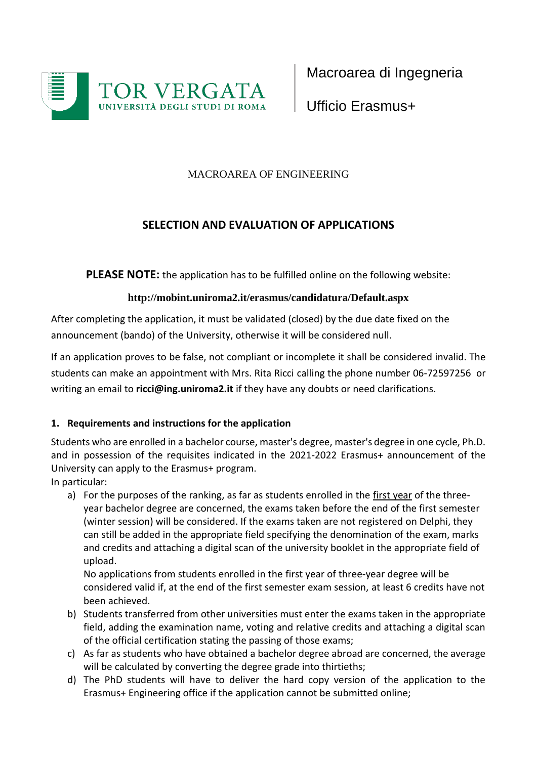

Macroarea di Ingegneria

Ufficio Erasmus+

## MACROAREA OF ENGINEERING

# **SELECTION AND EVALUATION OF APPLICATIONS**

**PLEASE NOTE:** the application has to be fulfilled online on the following website:

## **<http://mobint.uniroma2.it/erasmus/candidatura/Default.aspx>**

After completing the application, it must be validated (closed) by the due date fixed on the announcement (bando) of the University, otherwise it will be considered null.

If an application proves to be false, not compliant or incomplete it shall be considered invalid. The students can make an appointment with Mrs. Rita Ricci calling the phone number 06-72597256 or writing an email to **[ricci@ing.uniroma2.it](mailto:ricci@ing.uniroma2.it)** if they have any doubts or need clarifications.

## **1. Requirements and instructions for the application**

Students who are enrolled in a bachelor course, master's degree, master's degree in one cycle, Ph.D. and in possession of the requisites indicated in the 2021-2022 Erasmus+ announcement of the University can apply to the Erasmus+ program.

In particular:

a) For the purposes of the ranking, as far as students enrolled in the first year of the threeyear bachelor degree are concerned, the exams taken before the end of the first semester (winter session) will be considered. If the exams taken are not registered on Delphi, they can still be added in the appropriate field specifying the denomination of the exam, marks and credits and attaching a digital scan of the university booklet in the appropriate field of upload.

No applications from students enrolled in the first year of three-year degree will be considered valid if, at the end of the first semester exam session, at least 6 credits have not been achieved.

- b) Students transferred from other universities must enter the exams taken in the appropriate field, adding the examination name, voting and relative credits and attaching a digital scan of the official certification stating the passing of those exams;
- c) As far as students who have obtained a bachelor degree abroad are concerned, the average will be calculated by converting the degree grade into thirtieths;
- d) The PhD students will have to deliver the hard copy version of the application to the Erasmus+ Engineering office if the application cannot be submitted online;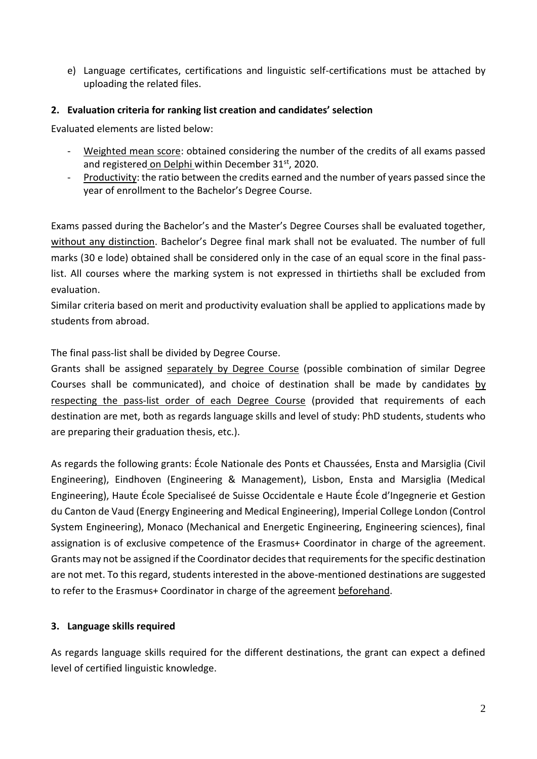e) Language certificates, certifications and linguistic self-certifications must be attached by uploading the related files.

#### **2. Evaluation criteria for ranking list creation and candidates' selection**

Evaluated elements are listed below:

- Weighted mean score: obtained considering the number of the credits of all exams passed and registered on Delphi within December 31st, 2020.
- Productivity: the ratio between the credits earned and the number of years passed since the year of enrollment to the Bachelor's Degree Course.

Exams passed during the Bachelor's and the Master's Degree Courses shall be evaluated together, without any distinction. Bachelor's Degree final mark shall not be evaluated. The number of full marks (30 e lode) obtained shall be considered only in the case of an equal score in the final passlist. All courses where the marking system is not expressed in thirtieths shall be excluded from evaluation.

Similar criteria based on merit and productivity evaluation shall be applied to applications made by students from abroad.

The final pass-list shall be divided by Degree Course.

Grants shall be assigned separately by Degree Course (possible combination of similar Degree Courses shall be communicated), and choice of destination shall be made by candidates by respecting the pass-list order of each Degree Course (provided that requirements of each destination are met, both as regards language skills and level of study: PhD students, students who are preparing their graduation thesis, etc.).

As regards the following grants: École Nationale des Ponts et Chaussées, Ensta and Marsiglia (Civil Engineering), Eindhoven (Engineering & Management), Lisbon, Ensta and Marsiglia (Medical Engineering), Haute École Specialiseé de Suisse Occidentale e Haute École d'Ingegnerie et Gestion du Canton de Vaud (Energy Engineering and Medical Engineering), Imperial College London (Control System Engineering), Monaco (Mechanical and Energetic Engineering, Engineering sciences), final assignation is of exclusive competence of the Erasmus+ Coordinator in charge of the agreement. Grants may not be assigned if the Coordinator decides that requirements for the specific destination are not met. To this regard, students interested in the above-mentioned destinations are suggested to refer to the Erasmus+ Coordinator in charge of the agreement beforehand.

#### **3. Language skills required**

As regards language skills required for the different destinations, the grant can expect a defined level of certified linguistic knowledge.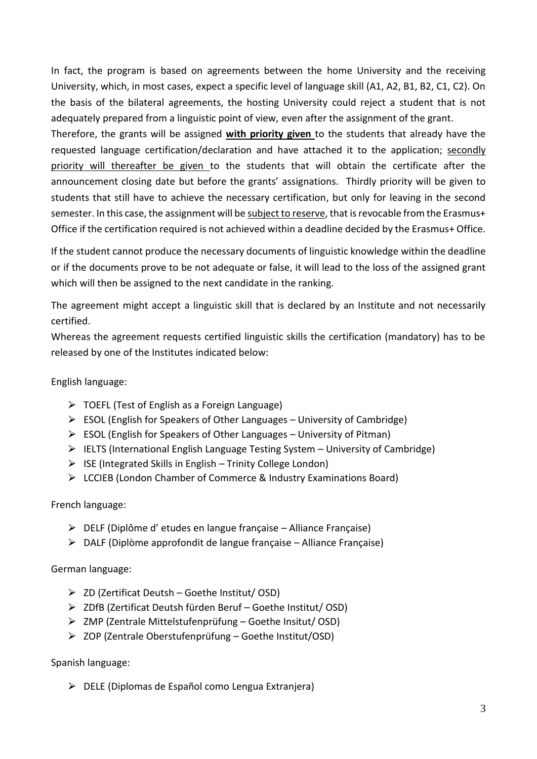In fact, the program is based on agreements between the home University and the receiving University, which, in most cases, expect a specific level of language skill (A1, A2, B1, B2, C1, C2). On the basis of the bilateral agreements, the hosting University could reject a student that is not adequately prepared from a linguistic point of view, even after the assignment of the grant.

Therefore, the grants will be assigned **with priority given** to the students that already have the requested language certification/declaration and have attached it to the application; secondly priority will thereafter be given to the students that will obtain the certificate after the announcement closing date but before the grants' assignations. Thirdly priority will be given to students that still have to achieve the necessary certification, but only for leaving in the second semester. In this case, the assignment will be subject to reserve, that is revocable from the Erasmus+ Office if the certification required is not achieved within a deadline decided by the Erasmus+ Office.

If the student cannot produce the necessary documents of linguistic knowledge within the deadline or if the documents prove to be not adequate or false, it will lead to the loss of the assigned grant which will then be assigned to the next candidate in the ranking.

The agreement might accept a linguistic skill that is declared by an Institute and not necessarily certified.

Whereas the agreement requests certified linguistic skills the certification (mandatory) has to be released by one of the Institutes indicated below:

English language:

- $\triangleright$  TOEFL (Test of English as a Foreign Language)
- $\triangleright$  ESOL (English for Speakers of Other Languages University of Cambridge)
- $\triangleright$  ESOL (English for Speakers of Other Languages University of Pitman)
- $\triangleright$  IELTS (International English Language Testing System University of Cambridge)
- $\triangleright$  ISE (Integrated Skills in English Trinity College London)
- ⮚ LCCIEB (London Chamber of Commerce & Industry Examinations Board)

French language:

- $\triangleright$  DELF (Diplôme d' etudes en langue française Alliance Française)
- $\triangleright$  DALF (Diplòme approfondit de langue française Alliance Française)

German language:

- $\triangleright$  ZD (Zertificat Deutsh Goethe Institut/ OSD)
- ⮚ ZDfB (Zertificat Deutsh fürden Beruf Goethe Institut/ OSD)
- $\triangleright$  ZMP (Zentrale Mittelstufenprüfung Goethe Insitut/ OSD)
- ⮚ ZOP (Zentrale Oberstufenprüfung Goethe Institut/OSD)

Spanish language:

⮚ DELE (Diplomas de Español como Lengua Extranjera)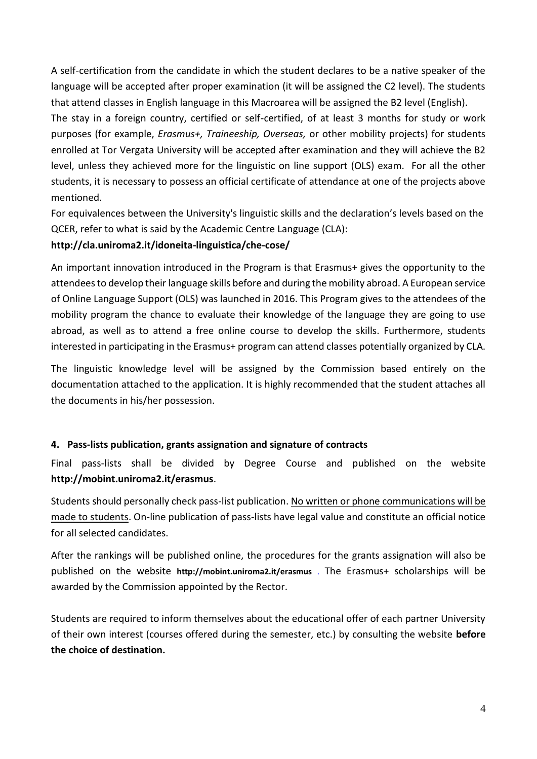A self-certification from the candidate in which the student declares to be a native speaker of the language will be accepted after proper examination (it will be assigned the C2 level). The students that attend classes in English language in this Macroarea will be assigned the B2 level (English).

The stay in a foreign country, certified or self-certified, of at least 3 months for study or work purposes (for example, *Erasmus+, Traineeship, Overseas,* or other mobility projects) for students enrolled at Tor Vergata University will be accepted after examination and they will achieve the B2 level, unless they achieved more for the linguistic on line support (OLS) exam. For all the other students, it is necessary to possess an official certificate of attendance at one of the projects above mentioned.

For equivalences between the University's linguistic skills and the declaration's levels based on the QCER, refer to what is said by the Academic Centre Language (CLA):

#### **http://cla.uniroma2.it/idoneita-linguistica/che-cose/**

An important innovation introduced in the Program is that Erasmus+ gives the opportunity to the attendees to develop their language skills before and during the mobility abroad. A European service of Online Language Support (OLS) was launched in 2016. This Program gives to the attendees of the mobility program the chance to evaluate their knowledge of the language they are going to use abroad, as well as to attend a free online course to develop the skills. Furthermore, students interested in participating in the Erasmus+ program can attend classes potentially organized by CLA.

The linguistic knowledge level will be assigned by the Commission based entirely on the documentation attached to the application. It is highly recommended that the student attaches all the documents in his/her possession.

#### **4. Pass-lists publication, grants assignation and signature of contracts**

Final pass-lists shall be divided by Degree Course and published on the website **<http://mobint.uniroma2.it/erasmus>**.

Students should personally check pass-list publication. No written or phone communications will be made to students. On-line publication of pass-lists have legal value and constitute an official notice for all selected candidates.

After the rankings will be published online, the procedures for the grants assignation will also be published on the website **<http://mobint.uniroma2.it/erasmus>** . The Erasmus+ scholarships will be awarded by the Commission appointed by the Rector.

Students are required to inform themselves about the educational offer of each partner University of their own interest (courses offered during the semester, etc.) by consulting the website **before the choice of destination.**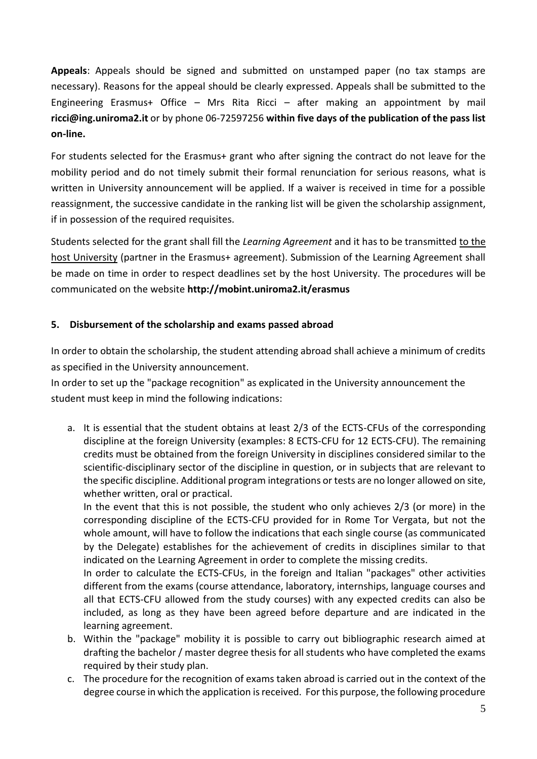**Appeals**: Appeals should be signed and submitted on unstamped paper (no tax stamps are necessary). Reasons for the appeal should be clearly expressed. Appeals shall be submitted to the Engineering Erasmus+ Office – Mrs Rita Ricci – after making an appointment by mail **[ricci@ing.uniroma2.it](mailto:ricci@ing.uniroma2.it)** or by phone 06-72597256 **within five days of the publication of the pass list on-line.**

For students selected for the Erasmus+ grant who after signing the contract do not leave for the mobility period and do not timely submit their formal renunciation for serious reasons, what is written in University announcement will be applied. If a waiver is received in time for a possible reassignment, the successive candidate in the ranking list will be given the scholarship assignment, if in possession of the required requisites.

Students selected for the grant shall fill the *Learning Agreement* and it has to be transmitted to the host University (partner in the Erasmus+ agreement). Submission of the Learning Agreement shall be made on time in order to respect deadlines set by the host University. The procedures will be communicated on the website **<http://mobint.uniroma2.it/erasmus>**

## **5. Disbursement of the scholarship and exams passed abroad**

In order to obtain the scholarship, the student attending abroad shall achieve a minimum of credits as specified in the University announcement.

In order to set up the "package recognition" as explicated in the University announcement the student must keep in mind the following indications:

a. It is essential that the student obtains at least 2/3 of the ECTS-CFUs of the corresponding discipline at the foreign University (examples: 8 ECTS-CFU for 12 ECTS-CFU). The remaining credits must be obtained from the foreign University in disciplines considered similar to the scientific-disciplinary sector of the discipline in question, or in subjects that are relevant to the specific discipline. Additional program integrations or tests are no longer allowed on site, whether written, oral or practical.

In the event that this is not possible, the student who only achieves 2/3 (or more) in the corresponding discipline of the ECTS-CFU provided for in Rome Tor Vergata, but not the whole amount, will have to follow the indications that each single course (as communicated by the Delegate) establishes for the achievement of credits in disciplines similar to that indicated on the Learning Agreement in order to complete the missing credits.

In order to calculate the ECTS-CFUs, in the foreign and Italian "packages" other activities different from the exams (course attendance, laboratory, internships, language courses and all that ECTS-CFU allowed from the study courses) with any expected credits can also be included, as long as they have been agreed before departure and are indicated in the learning agreement.

- b. Within the "package" mobility it is possible to carry out bibliographic research aimed at drafting the bachelor / master degree thesis for all students who have completed the exams required by their study plan.
- c. The procedure for the recognition of exams taken abroad is carried out in the context of the degree course in which the application is received. For this purpose, the following procedure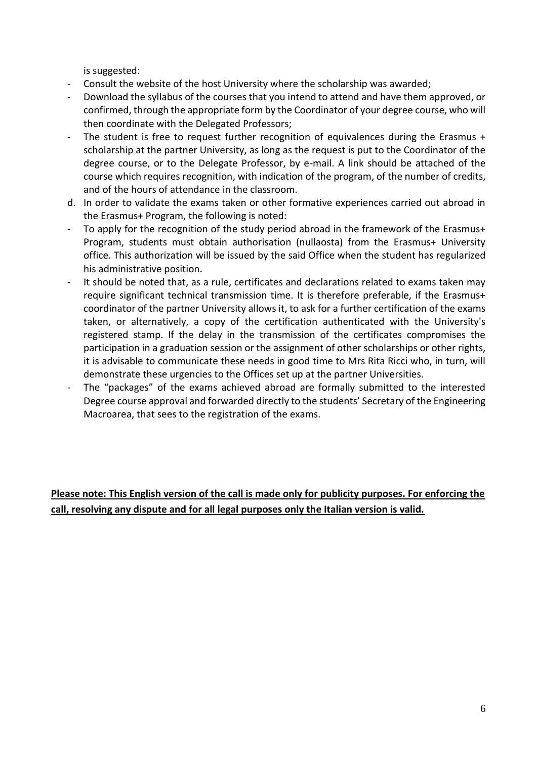is suggested:

- Consult the website of the host University where the scholarship was awarded;
- Download the syllabus of the courses that you intend to attend and have them approved, or confirmed, through the appropriate form by the Coordinator of your degree course, who will then coordinate with the Delegated Professors;
- The student is free to request further recognition of equivalences during the Erasmus  $+$ scholarship at the partner University, as long as the request is put to the Coordinator of the degree course, or to the Delegate Professor, by e-mail. A link should be attached of the course which requires recognition, with indication of the program, of the number of credits, and of the hours of attendance in the classroom.
- d. In order to validate the exams taken or other formative experiences carried out abroad in the Erasmus+ Program, the following is noted:
- To apply for the recognition of the study period abroad in the framework of the Erasmus+ Program, students must obtain authorisation (nullaosta) from the Erasmus+ University office. This authorization will be issued by the said Office when the student has regularized his administrative position.
- It should be noted that, as a rule, certificates and declarations related to exams taken may require significant technical transmission time. It is therefore preferable, if the Erasmus+ coordinator of the partner University allows it, to ask for a further certification of the exams taken, or alternatively, a copy of the certification authenticated with the University's registered stamp. If the delay in the transmission of the certificates compromises the participation in a graduation session or the assignment of other scholarships or other rights, it is advisable to communicate these needs in good time to Mrs Rita Ricci who, in turn, will demonstrate these urgencies to the Offices set up at the partner Universities.
- The "packages" of the exams achieved abroad are formally submitted to the interested Degree course approval and forwarded directly to the students' Secretary of the Engineering Macroarea, that sees to the registration of the exams.

**Please note: This English version of the call is made only for publicity purposes. For enforcing the call, resolving any dispute and for all legal purposes only the Italian version is valid.**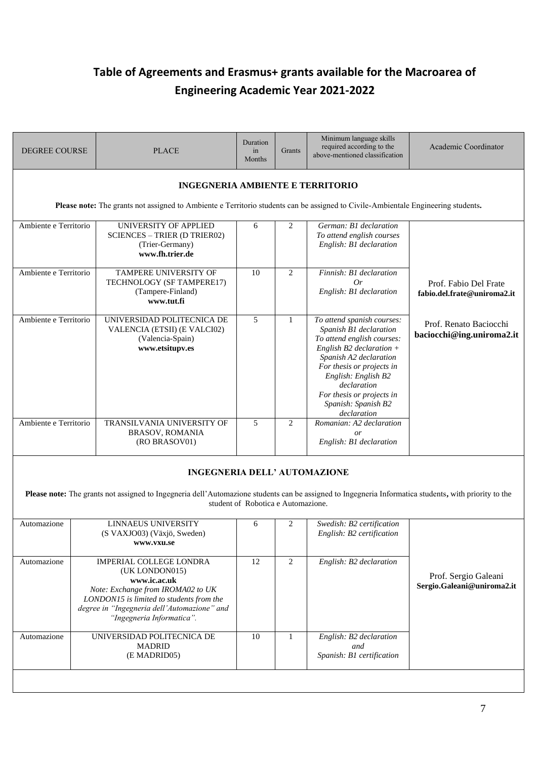# **Table of Agreements and Erasmus+ grants available for the Macroarea of Engineering Academic Year 2021-2022**

| <b>DEGREE COURSE</b>  |                                                                                                                                                                              | <b>PLACE</b>                                                                                                                                                                                                                  | Duration<br>in<br>Months           | Grants       | Minimum language skills<br>required according to the<br>above-mentioned classification                                                                                                                                                                                           | Academic Coordinator                                 |  |  |  |  |
|-----------------------|------------------------------------------------------------------------------------------------------------------------------------------------------------------------------|-------------------------------------------------------------------------------------------------------------------------------------------------------------------------------------------------------------------------------|------------------------------------|--------------|----------------------------------------------------------------------------------------------------------------------------------------------------------------------------------------------------------------------------------------------------------------------------------|------------------------------------------------------|--|--|--|--|
|                       | <b>INGEGNERIA AMBIENTE E TERRITORIO</b><br>Please note: The grants not assigned to Ambiente e Territorio students can be assigned to Civile-Ambientale Engineering students. |                                                                                                                                                                                                                               |                                    |              |                                                                                                                                                                                                                                                                                  |                                                      |  |  |  |  |
| Ambiente e Territorio |                                                                                                                                                                              | UNIVERSITY OF APPLIED<br><b>SCIENCES - TRIER (D TRIER02)</b><br>(Trier-Germany)<br>www.fh.trier.de                                                                                                                            | 6                                  | 2            | German: B1 declaration<br>To attend english courses<br>English: B1 declaration                                                                                                                                                                                                   |                                                      |  |  |  |  |
| Ambiente e Territorio |                                                                                                                                                                              | TAMPERE UNIVERSITY OF<br>TECHNOLOGY (SF TAMPERE17)<br>(Tampere-Finland)<br>www.tut.fi                                                                                                                                         | 10                                 | 2            | Finnish: B1 declaration<br>0r<br>English: B1 declaration                                                                                                                                                                                                                         | Prof. Fabio Del Frate<br>fabio.del.frate@uniroma2.it |  |  |  |  |
| Ambiente e Territorio |                                                                                                                                                                              | UNIVERSIDAD POLITECNICA DE<br>VALENCIA (ETSII) (E VALCI02)<br>(Valencia-Spain)<br>www.etsitupv.es                                                                                                                             | 5                                  | $\mathbf{1}$ | To attend spanish courses:<br>Spanish B1 declaration<br>To attend english courses:<br>English B2 declaration $+$<br>Spanish A2 declaration<br>For thesis or projects in<br>English: English B2<br>declaration<br>For thesis or projects in<br>Spanish: Spanish B2<br>declaration | Prof. Renato Baciocchi<br>baciocchi@ing.uniroma2.it  |  |  |  |  |
| Ambiente e Territorio |                                                                                                                                                                              | TRANSILVANIA UNIVERSITY OF<br><b>BRASOV, ROMANIA</b><br>(RO BRASOV01)                                                                                                                                                         | 5                                  | 2            | Romanian: A2 declaration<br>or<br>English: B1 declaration                                                                                                                                                                                                                        |                                                      |  |  |  |  |
|                       |                                                                                                                                                                              | <b>INGEGNERIA DELL' AUTOMAZIONE</b><br>Please note: The grants not assigned to Ingegneria dell'Automazione students can be assigned to Ingegneria Informatica students, with priority to the                                  | student of Robotica e Automazione. |              |                                                                                                                                                                                                                                                                                  |                                                      |  |  |  |  |
| Automazione           |                                                                                                                                                                              | LINNAEUS UNIVERSITY<br>(S VAXJO03) (Växjö, Sweden)<br>www.vxu.se                                                                                                                                                              | 6                                  | 2            | Swedish: B2 certification<br>English: B2 certification                                                                                                                                                                                                                           |                                                      |  |  |  |  |
| Automazione           |                                                                                                                                                                              | <b>IMPERIAL COLLEGE LONDRA</b><br>(UK LONDON015)<br>www.ic.ac.uk<br>Note: Exchange from IROMA02 to UK<br>LONDON15 is limited to students from the<br>degree in "Ingegneria dell'Automazione" and<br>"Ingegneria Informatica". | 12                                 | 2            | English: B2 declaration                                                                                                                                                                                                                                                          | Prof. Sergio Galeani<br>Sergio.Galeani@uniroma2.it   |  |  |  |  |
| Automazione           |                                                                                                                                                                              | UNIVERSIDAD POLITECNICA DE<br><b>MADRID</b><br>(E MADRID05)                                                                                                                                                                   | 10                                 | -1           | English: B2 declaration<br>and<br>Spanish: B1 certification                                                                                                                                                                                                                      |                                                      |  |  |  |  |
|                       |                                                                                                                                                                              |                                                                                                                                                                                                                               |                                    |              |                                                                                                                                                                                                                                                                                  |                                                      |  |  |  |  |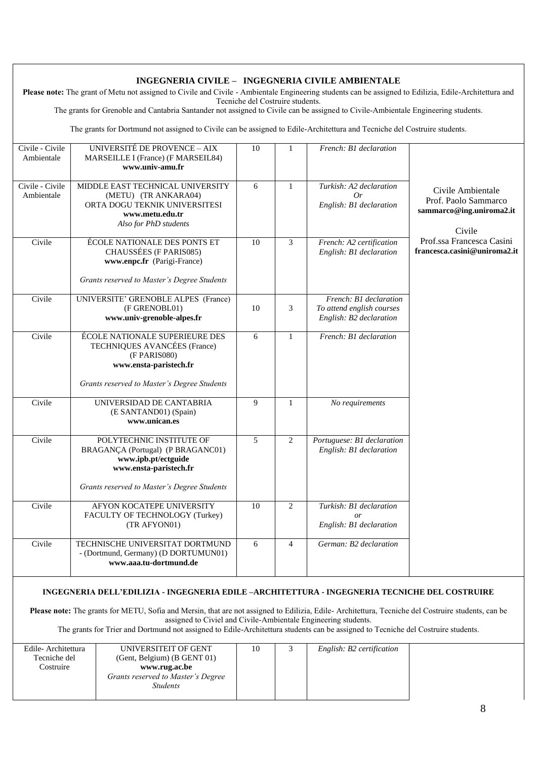#### **INGEGNERIA CIVILE – INGEGNERIA CIVILE AMBIENTALE** Please note: The grant of Metu not assigned to Civile and Civile - Ambientale Engineering students can be assigned to Edilizia, Edile-Architettura and Tecniche del Costruire students. The grants for Grenoble and Cantabria Santander not assigned to Civile can be assigned to Civile-Ambientale Engineering students. The grants for Dortmund not assigned to Civile can be assigned to Edile-Architettura and Tecniche del Costruire students. Civile - Civile Ambientale UNIVERSITÉ DE PROVENCE – AIX MARSEILLE I (France) (F MARSEIL84) **[www.univ-amu.fr](http://www.univ-amu.fr/)** 10 1 *French: B1 declaration* Civile Ambientale Prof. Paolo Sammarco **[sammarco@ing.uniroma2.it](mailto:sammarco@ing.uniroma2.it)** Civile Prof.ssa Francesca Casini **[francesca.casini@uniroma2.it](mailto:francesca.casini@uniroma2.it)** Civile - Civile Ambientale MIDDLE EAST TECHNICAL UNIVERSITY (METU) (TR ANKARA04) ORTA DOGU TEKNIK UNIVERSITESI **[www.metu.edu.tr](http://www.metu.edu.tr/)** *Also for PhD students* 6 1 *Turkish: A2 declaration Or English: B1 declaration* Civile ÉCOLE NATIONALE DES PONTS ET CHAUSSÉES (F PARIS085) **[www.enpc.fr](http://www.enpc.fr/)** (Parigi-France) *Grants reserved to Master's Degree Students* 10 3 *French: A2 certification English: B1 declaration* Civile UNIVERSITE' GRENOBLE ALPES (France) (F GRENOBL01) **[www.univ-grenoble-alpes.fr](http://www.univ-grenoble-alpes.fr/)**  $10 \t 3$  *French: B1 declaration To attend english courses English: B2 declaration* Civile ÉCOLE NATIONALE SUPERIEURE DES TECHNIQUES AVANCÉES (France) (F PARIS080) **[www.ensta-paristech.fr](http://www.ensta-paristech.fr/)** *Grants reserved to Master's Degree Students* 6 1 *French: B1 declaration* Civile UNIVERSIDAD DE CANTABRIA (E SANTAND01) (Spain) **[www.unican.es](http://www.unican.es/)** 9 1 *No requirements* Civile POLYTECHNIC INSTITUTE OF BRAGANÇA (Portugal) (P BRAGANC01) **[www.ipb.pt/ectguide](http://www.ipb.pt/ectguide) [www.ensta-paristech.fr](http://www.ensta-paristech.fr/)** *Grants reserved to Master's Degree Students*  5 2 *Portuguese: B1 declaration English: B1 declaration* Civile AFYON KOCATEPE UNIVERSITY FACULTY OF TECHNOLOGY (Turkey) (TR AFYON01) 10 2 *Turkish: B1 declaration or English: B1 declaration* Civile TECHNISCHE UNIVERSITAT DORTMUND - (Dortmund, Germany) (D DORTUMUN01) **[www.aaa.tu-dortmund.de](http://www.aaa.tu-dortmund.de/)** 6 4 *German: B2 declaration* **INGEGNERIA DELL'EDILIZIA - INGEGNERIA EDILE –ARCHITETTURA - INGEGNERIA TECNICHE DEL COSTRUIRE Please note:** The grants for METU, Sofia and Mersin, that are not assigned to Edilizia, Edile- Architettura, Tecniche del Costruire students, can be assigned to Civiel and Civile-Ambientale Engineering students. The grants for Trier and Dortmund not assigned to Edile-Architettura students can be assigned to Tecniche del Costruire students.

| Edile-Architettura | UNIVERSITEIT OF GENT               |  | English: B2 certification |  |
|--------------------|------------------------------------|--|---------------------------|--|
| Tecniche del       | (Gent, Belgium) (B GENT 01)        |  |                           |  |
| Costruire          | www.rug.ac.be                      |  |                           |  |
|                    | Grants reserved to Master's Degree |  |                           |  |
|                    | <i><b>Students</b></i>             |  |                           |  |
|                    |                                    |  |                           |  |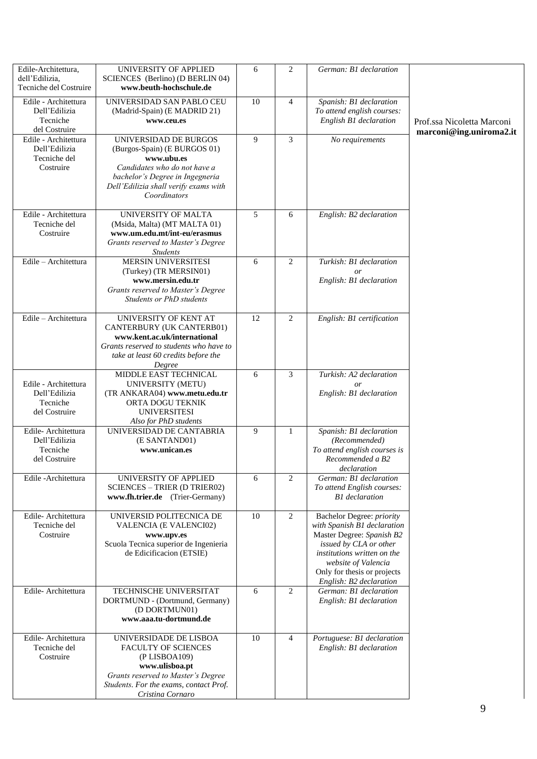| Edile-Architettura,<br>dell'Edilizia,<br>Tecniche del Costruire    | UNIVERSITY OF APPLIED<br>SCIENCES (Berlino) (D BERLIN 04)<br>www.beuth-hochschule.de                                                                                                            | 6  | 2              | German: B1 declaration                                                                                                                                                                                                          |                                                       |
|--------------------------------------------------------------------|-------------------------------------------------------------------------------------------------------------------------------------------------------------------------------------------------|----|----------------|---------------------------------------------------------------------------------------------------------------------------------------------------------------------------------------------------------------------------------|-------------------------------------------------------|
| Edile - Architettura<br>Dell'Edilizia<br>Tecniche<br>del Costruire | UNIVERSIDAD SAN PABLO CEU<br>(Madrid-Spain) (E MADRID 21)<br>www.ceu.es                                                                                                                         | 10 | $\overline{4}$ | Spanish: B1 declaration<br>To attend english courses:<br>English B1 declaration                                                                                                                                                 | Prof.ssa Nicoletta Marconi<br>marconi@ing.uniroma2.it |
| Edile - Architettura<br>Dell'Edilizia<br>Tecniche del<br>Costruire | UNIVERSIDAD DE BURGOS<br>(Burgos-Spain) (E BURGOS 01)<br>www.ubu.es<br>Candidates who do not have a<br>bachelor's Degree in Ingegneria<br>Dell'Edilizia shall verify exams with<br>Coordinators | 9  | 3              | No requirements                                                                                                                                                                                                                 |                                                       |
| Edile - Architettura<br>Tecniche del<br>Costruire                  | UNIVERSITY OF MALTA<br>(Msida, Malta) (MT MALTA 01)<br>www.um.edu.mt/int-eu/erasmus<br>Grants reserved to Master's Degree<br><b>Students</b>                                                    | 5  | 6              | English: B2 declaration                                                                                                                                                                                                         |                                                       |
| Edile - Architettura                                               | <b>MERSIN UNIVERSITESI</b><br>(Turkey) (TR MERSIN01)<br>www.mersin.edu.tr<br>Grants reserved to Master's Degree<br>Students or PhD students                                                     | 6  | 2              | Turkish: B1 declaration<br>or<br>English: B1 declaration                                                                                                                                                                        |                                                       |
| Edile - Architettura                                               | UNIVERSITY OF KENT AT<br>CANTERBURY (UK CANTERB01)<br>www.kent.ac.uk/international<br>Grants reserved to students who have to<br>take at least 60 credits before the<br>Degree                  | 12 | 2              | English: B1 certification                                                                                                                                                                                                       |                                                       |
| Edile - Architettura<br>Dell'Edilizia<br>Tecniche<br>del Costruire | MIDDLE EAST TECHNICAL<br>UNIVERSITY (METU)<br>(TR ANKARA04) www.metu.edu.tr<br>ORTA DOGU TEKNIK<br><b>UNIVERSITESI</b><br>Also for PhD students                                                 | 6  | 3              | Turkish: A2 declaration<br>or<br>English: B1 declaration                                                                                                                                                                        |                                                       |
| Edile-Architettura<br>Dell'Edilizia<br>Tecniche<br>del Costruire   | UNIVERSIDAD DE CANTABRIA<br>(E SANTAND01)<br>www.unican.es                                                                                                                                      | 9  | 1              | Spanish: B1 declaration<br>(Recommended)<br>To attend english courses is<br>Recommended a B2<br>declaration                                                                                                                     |                                                       |
| Edile - Architettura                                               | UNIVERSITY OF APPLIED<br><b>SCIENCES - TRIER (D TRIER02)</b><br>www.fh.trier.de (Trier-Germany)                                                                                                 | 6  | 2              | German: B1 declaration<br>To attend English courses:<br><b>B1</b> declaration                                                                                                                                                   |                                                       |
| Edile-Architettura<br>Tecniche del<br>Costruire                    | UNIVERSID POLITECNICA DE<br>VALENCIA (E VALENCI02)<br>www.upv.es<br>Scuola Tecnica superior de Ingenieria<br>de Edicificacion (ETSIE)                                                           | 10 | 2              | Bachelor Degree: priority<br>with Spanish B1 declaration<br>Master Degree: Spanish B2<br>issued by CLA or other<br>institutions written on the<br>website of Valencia<br>Only for thesis or projects<br>English: B2 declaration |                                                       |
| Edile-Architettura                                                 | TECHNISCHE UNIVERSITAT<br>DORTMUND - (Dortmund, Germany)<br>(D DORTMUN01)<br>www.aaa.tu-dortmund.de                                                                                             | 6  | 2              | German: B1 declaration<br>English: B1 declaration                                                                                                                                                                               |                                                       |
| Edile-Architettura<br>Tecniche del<br>Costruire                    | UNIVERSIDADE DE LISBOA<br><b>FACULTY OF SCIENCES</b><br>(PLISBOA109)<br>www.ulisboa.pt<br>Grants reserved to Master's Degree<br>Students. For the exams, contact Prof.<br>Cristina Cornaro      | 10 | $\overline{4}$ | Portuguese: B1 declaration<br>English: B1 declaration                                                                                                                                                                           |                                                       |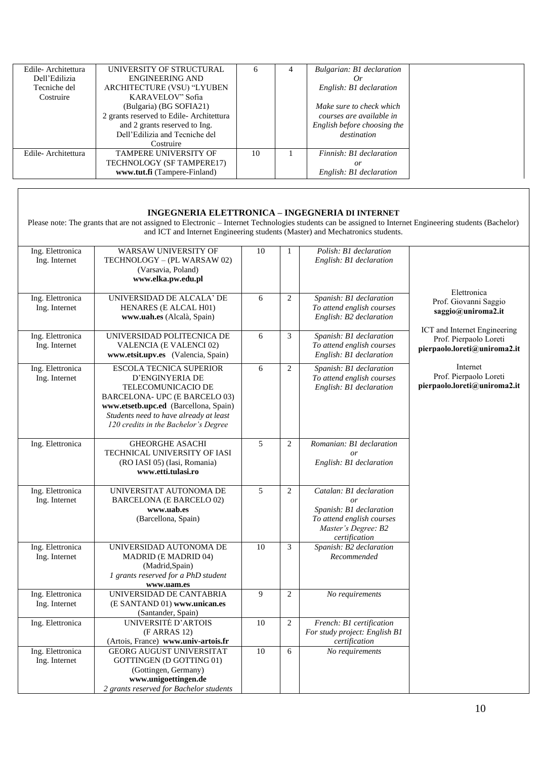| Edile-Architettura | UNIVERSITY OF STRUCTURAL                |    | 4 | Bulgarian: B1 declaration   |  |
|--------------------|-----------------------------------------|----|---|-----------------------------|--|
| Dell'Edilizia      | <b>ENGINEERING AND</b>                  |    |   | Or                          |  |
| Tecniche del       | ARCHITECTURE (VSU) "LYUBEN              |    |   | English: B1 declaration     |  |
| Costruire          | KARAVELOV" Sofia                        |    |   |                             |  |
|                    | (Bulgaria) (BG SOFIA21)                 |    |   | Make sure to check which    |  |
|                    | 2 grants reserved to Edile-Architettura |    |   | courses are available in    |  |
|                    | and 2 grants reserved to Ing.           |    |   | English before choosing the |  |
|                    | Dell'Edilizia and Tecniche del          |    |   | destination                 |  |
|                    | Costruire                               |    |   |                             |  |
| Edile-Architettura | <b>TAMPERE UNIVERSITY OF</b>            | 10 |   | Finnish: B1 declaration     |  |
|                    | TECHNOLOGY (SF TAMPERE17)               |    |   | or                          |  |
|                    | www.tut.fi (Tampere-Finland)            |    |   | English: B1 declaration     |  |

#### **INGEGNERIA ELETTRONICA – INGEGNERIA DI INTERNET**

Please note: The grants that are not assigned to Electronic – Internet Technologies students can be assigned to Internet Engineering students (Bachelor) and ICT and Internet Engineering students (Master) and Mechatronics students.

| Ing. Elettronica<br>Ing. Internet | WARSAW UNIVERSITY OF<br>TECHNOLOGY - (PL WARSAW 02)<br>(Varsavia, Poland)<br>www.elka.pw.edu.pl                                                                                                                                     | $10\,$          | $\mathbf{1}$   | Polish: B1 declaration<br>English: B1 declaration                                                                                    |                                                                                            |
|-----------------------------------|-------------------------------------------------------------------------------------------------------------------------------------------------------------------------------------------------------------------------------------|-----------------|----------------|--------------------------------------------------------------------------------------------------------------------------------------|--------------------------------------------------------------------------------------------|
| Ing. Elettronica<br>Ing. Internet | UNIVERSIDAD DE ALCALA' DE<br>HENARES (E ALCAL H01)<br>www.uah.es (Alcalà, Spain)                                                                                                                                                    | 6               | $\overline{c}$ | Spanish: B1 declaration<br>To attend english courses<br>English: B2 declaration                                                      | Elettronica<br>Prof. Giovanni Saggio<br>saggio@uniroma2.it<br>ICT and Internet Engineering |
| Ing. Elettronica<br>Ing. Internet | UNIVERSIDAD POLITECNICA DE<br>VALENCIA (E VALENCI 02)<br>www.etsit.upv.es (Valencia, Spain)                                                                                                                                         | 6               | 3              | Spanish: B1 declaration<br>To attend english courses<br>English: B1 declaration                                                      | Prof. Pierpaolo Loreti<br>pierpaolo.loreti@uniroma2.it                                     |
| Ing. Elettronica<br>Ing. Internet | <b>ESCOLA TECNICA SUPERIOR</b><br>D'ENGINYERIA DE<br>TELECOMUNICACIO DE<br>BARCELONA- UPC (E BARCELO 03)<br>www.etsetb.upc.ed (Barcellona, Spain)<br>Students need to have already at least<br>120 credits in the Bachelor's Degree | 6               | $\overline{2}$ | Spanish: B1 declaration<br>To attend english courses<br>English: B1 declaration                                                      | Internet<br>Prof. Pierpaolo Loreti<br>pierpaolo.loreti@uniroma2.it                         |
| Ing. Elettronica                  | <b>GHEORGHE ASACHI</b><br>TECHNICAL UNIVERSITY OF IASI<br>(RO IASI 05) (Iasi, Romania)<br>www.etti.tulasi.ro                                                                                                                        | 5               | $\mathbf{2}$   | Romanian: B1 declaration<br>$\overline{or}$<br>English: B1 declaration                                                               |                                                                                            |
| Ing. Elettronica<br>Ing. Internet | UNIVERSITAT AUTONOMA DE<br><b>BARCELONA (E BARCELO 02)</b><br>www.uab.es<br>(Barcellona, Spain)                                                                                                                                     | $\overline{5}$  | $\overline{2}$ | Catalan: B1 declaration<br><i>or</i><br>Spanish: B1 declaration<br>To attend english courses<br>Master's Degree: B2<br>certification |                                                                                            |
| Ing. Elettronica<br>Ing. Internet | UNIVERSIDAD AUTONOMA DE<br><b>MADRID (E MADRID 04)</b><br>(Madrid,Spain)<br>1 grants reserved for a PhD student<br>www.uam.es                                                                                                       | $\overline{10}$ | 3              | Spanish: B2 declaration<br>Recommended                                                                                               |                                                                                            |
| Ing. Elettronica<br>Ing. Internet | UNIVERSIDAD DE CANTABRIA<br>(E SANTAND 01) www.unican.es<br>(Santander, Spain)                                                                                                                                                      | 9               | $\mathbf{2}$   | No requirements                                                                                                                      |                                                                                            |
| Ing. Elettronica                  | UNIVERSITĖ D'ARTOIS<br>(F ARRAS 12)<br>(Artois, France) www.univ-artois.fr                                                                                                                                                          | $10\,$          | $\overline{2}$ | French: B1 certification<br>For study project: English B1<br>certification                                                           |                                                                                            |
| Ing. Elettronica<br>Ing. Internet | <b>GEORG AUGUST UNIVERSITAT</b><br><b>GOTTINGEN (D GOTTING 01)</b><br>(Gottingen, Germany)<br>www.unigoettingen.de<br>2 grants reserved for Bachelor students                                                                       | 10              | 6              | No requirements                                                                                                                      |                                                                                            |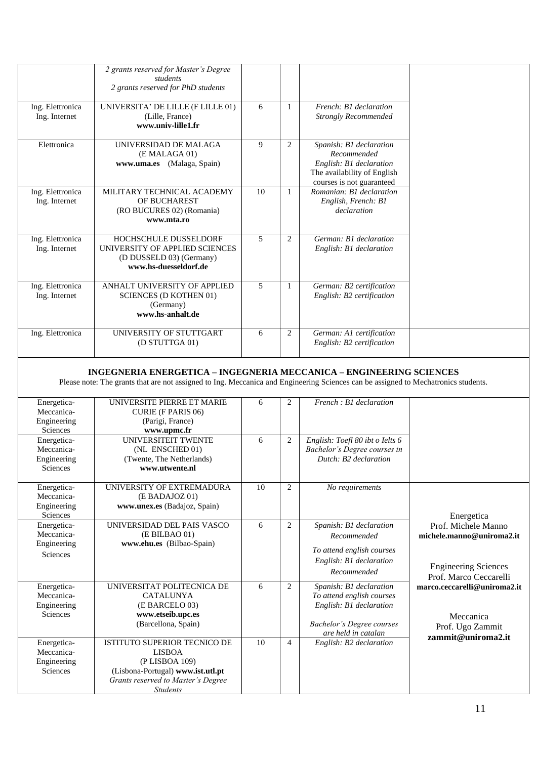|                                   | 2 grants reserved for Master's Degree<br>students<br>2 grants reserved for PhD students                             |    |              |                                                                                                                               |
|-----------------------------------|---------------------------------------------------------------------------------------------------------------------|----|--------------|-------------------------------------------------------------------------------------------------------------------------------|
| Ing. Elettronica<br>Ing. Internet | UNIVERSITA' DE LILLE (F LILLE 01)<br>(Lille, France)<br>www.univ-lille1.fr                                          | 6  | $\mathbf{1}$ | French: B1 declaration<br><b>Strongly Recommended</b>                                                                         |
| Elettronica                       | UNIVERSIDAD DE MALAGA<br>(E MALAGA 01)<br>(Malaga, Spain)<br>www.uma.es                                             | 9  | 2            | Spanish: B1 declaration<br>Recommended<br>English: B1 declaration<br>The availability of English<br>courses is not guaranteed |
| Ing. Elettronica<br>Ing. Internet | MILITARY TECHNICAL ACADEMY<br>OF BUCHAREST<br>(RO BUCURES 02) (Romania)<br>www.mta.ro                               | 10 | -1           | Romanian: B1 declaration<br>English, French: B1<br>declaration                                                                |
| Ing. Elettronica<br>Ing. Internet | <b>HOCHSCHULE DUSSELDORF</b><br>UNIVERSITY OF APPLIED SCIENCES<br>(D DUSSELD 03) (Germany)<br>www.hs-duesseldorf.de | 5  | 2            | German: B1 declaration<br>English: B1 declaration                                                                             |
| Ing. Elettronica<br>Ing. Internet | ANHALT UNIVERSITY OF APPLIED<br><b>SCIENCES (D KOTHEN 01)</b><br>(Germany)<br>www.hs-anhalt.de                      | 5  | 1            | German: B2 certification<br>English: B2 certification                                                                         |
| Ing. Elettronica                  | UNIVERSITY OF STUTTGART<br>(D STUTTGA 01)                                                                           | 6  | 2            | German: A1 certification<br>English: B2 certification                                                                         |

#### **INGEGNERIA ENERGETICA – INGEGNERIA MECCANICA – ENGINEERING SCIENCES**

Please note: The grants that are not assigned to Ing. Meccanica and Engineering Sciences can be assigned to Mechatronics students.

| Energetica-<br>Meccanica-<br>Engineering<br>Sciences        | UNIVERSITE PIERRE ET MARIE<br><b>CURIE (F PARIS 06)</b><br>(Parigi, France)<br>www.upmc.fr                                                                           | 6  | $\overline{2}$ | French : B1 declaration                                                                                                                    |                                                                                                           |
|-------------------------------------------------------------|----------------------------------------------------------------------------------------------------------------------------------------------------------------------|----|----------------|--------------------------------------------------------------------------------------------------------------------------------------------|-----------------------------------------------------------------------------------------------------------|
| Energetica-<br>Meccanica-<br>Engineering<br><b>Sciences</b> | <b>UNIVERSITEIT TWENTE</b><br>(NL ENSCHED 01)<br>(Twente, The Netherlands)<br>www.utwente.nl                                                                         | 6  | $\overline{2}$ | English: Toefl 80 ibt o Ielts 6<br>Bachelor's Degree courses in<br>Dutch: B2 declaration                                                   |                                                                                                           |
| Energetica-<br>Meccanica-<br>Engineering<br><b>Sciences</b> | UNIVERSITY OF EXTREMADURA<br>(E BADAJOZ 01)<br>www.unex.es (Badajoz, Spain)                                                                                          | 10 | $\overline{2}$ | No requirements                                                                                                                            | Energetica                                                                                                |
| Energetica-<br>Meccanica-<br>Engineering<br><b>Sciences</b> | UNIVERSIDAD DEL PAIS VASCO<br>(E BILBAO 01)<br>www.ehu.es (Bilbao-Spain)                                                                                             | 6  | $\overline{2}$ | Spanish: B1 declaration<br>Recommended<br>To attend english courses<br>English: B1 declaration<br>Recommended                              | Prof. Michele Manno<br>michele.manno@uniroma2.it<br><b>Engineering Sciences</b><br>Prof. Marco Ceccarelli |
| Energetica-<br>Meccanica-<br>Engineering<br><b>Sciences</b> | UNIVERSITAT POLITECNICA DE<br><b>CATALUNYA</b><br>(E BARCELO 03)<br>www.etseib.upc.es<br>(Barcellona, Spain)                                                         | 6  | $\overline{2}$ | Spanish: B1 declaration<br>To attend english courses<br>English: B1 declaration<br><b>Bachelor's Degree courses</b><br>are held in catalan | marco.ceccarelli@uniroma2.it<br>Meccanica<br>Prof. Ugo Zammit                                             |
| Energetica-<br>Meccanica-<br>Engineering<br><b>Sciences</b> | <b>ISTITUTO SUPERIOR TECNICO DE</b><br><b>LISBOA</b><br>(P LISBOA 109)<br>(Lisbona-Portugal) www.ist.utl.pt<br>Grants reserved to Master's Degree<br><b>Students</b> | 10 | $\overline{4}$ | English: B2 declaration                                                                                                                    | $z$ ammit@uniroma2.it                                                                                     |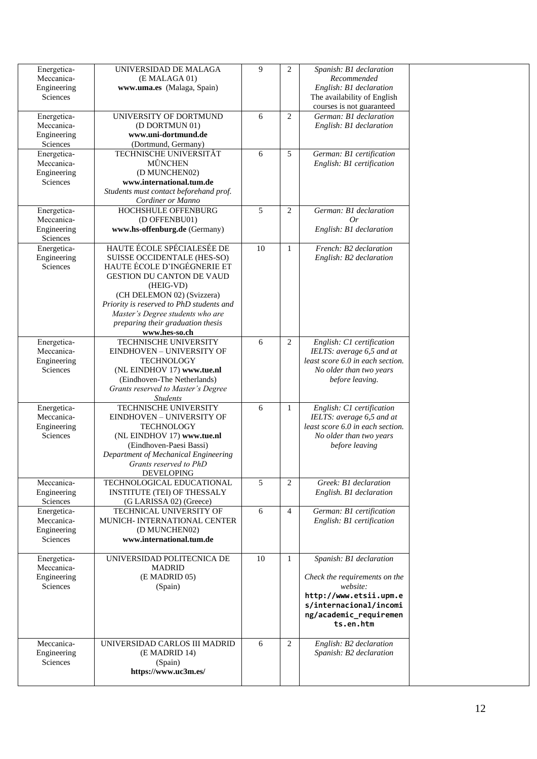| Energetica-<br>Meccanica- | UNIVERSIDAD DE MALAGA<br>(E MALAGA 01)                                 | 9  | 2              | Spanish: B1 declaration<br>Recommended                        |  |
|---------------------------|------------------------------------------------------------------------|----|----------------|---------------------------------------------------------------|--|
| Engineering<br>Sciences   | www.uma.es (Malaga, Spain)                                             |    |                | English: B1 declaration<br>The availability of English        |  |
|                           |                                                                        |    |                | courses is not guaranteed                                     |  |
| Energetica-               | UNIVERSITY OF DORTMUND                                                 | 6  | $\overline{2}$ | German: B1 declaration                                        |  |
| Meccanica-<br>Engineering | (D DORTMUN 01)<br>www.uni-dortmund.de                                  |    |                | English: B1 declaration                                       |  |
| Sciences                  | (Dortmund, Germany)                                                    |    |                |                                                               |  |
| Energetica-               | TECHNISCHE UNIVERSITÄT                                                 | 6  | 5              | German: B1 certification                                      |  |
| Meccanica-                | <b>MÜNCHEN</b>                                                         |    |                | English: B1 certification                                     |  |
| Engineering<br>Sciences   | (D MUNCHEN02)<br>www.international.tum.de                              |    |                |                                                               |  |
|                           | Students must contact beforehand prof.                                 |    |                |                                                               |  |
|                           | Cordiner or Manno                                                      |    |                |                                                               |  |
| Energetica-               | HOCHSHULE OFFENBURG                                                    | 5  | 2              | German: B1 declaration                                        |  |
| Meccanica-                | (D OFFENBU01)                                                          |    |                | Or                                                            |  |
| Engineering               | www.hs-offenburg.de (Germany)                                          |    |                | English: B1 declaration                                       |  |
| Sciences<br>Energetica-   | HAUTE ÉCOLE SPÉCIALESÉE DE                                             | 10 | $\mathbf{1}$   | French: B2 declaration                                        |  |
| Engineering               | SUISSE OCCIDENTALE (HES-SO)                                            |    |                | English: B2 declaration                                       |  |
| Sciences                  | HAUTE ÉCOLE D'INGÉGNERIE ET                                            |    |                |                                                               |  |
|                           | <b>GESTION DU CANTON DE VAUD</b>                                       |    |                |                                                               |  |
|                           | (HEIG-VD)                                                              |    |                |                                                               |  |
|                           | (CH DELEMON 02) (Svizzera)<br>Priority is reserved to PhD students and |    |                |                                                               |  |
|                           | Master's Degree students who are                                       |    |                |                                                               |  |
|                           | preparing their graduation thesis                                      |    |                |                                                               |  |
|                           | www.hes-so.ch                                                          |    |                |                                                               |  |
| Energetica-               | TECHNISCHE UNIVERSITY                                                  | 6  | 2              | English: C1 certification                                     |  |
| Meccanica-<br>Engineering | EINDHOVEN - UNIVERSITY OF<br><b>TECHNOLOGY</b>                         |    |                | IELTS: average 6,5 and at<br>least score 6.0 in each section. |  |
| Sciences                  | (NL EINDHOV 17) www.tue.nl                                             |    |                | No older than two years                                       |  |
|                           | (Eindhoven-The Netherlands)                                            |    |                | before leaving.                                               |  |
|                           | Grants reserved to Master's Degree                                     |    |                |                                                               |  |
|                           | <b>Students</b>                                                        |    |                |                                                               |  |
| Energetica-<br>Meccanica- | TECHNISCHE UNIVERSITY<br>EINDHOVEN - UNIVERSITY OF                     | 6  | $\mathbf{1}$   | English: C1 certification<br>IELTS: average 6,5 and at        |  |
| Engineering               | <b>TECHNOLOGY</b>                                                      |    |                | least score 6.0 in each section.                              |  |
| Sciences                  | (NL EINDHOV 17) www.tue.nl                                             |    |                | No older than two years                                       |  |
|                           | (Eindhoven-Paesi Bassi)                                                |    |                | before leaving                                                |  |
|                           | Department of Mechanical Engineering<br>Grants reserved to PhD         |    |                |                                                               |  |
|                           | <b>DEVELOPING</b>                                                      |    |                |                                                               |  |
| Meccanica-                | TECHNOLOGICAL EDUCATIONAL                                              | 5  | 2              | Greek: B1 declaration                                         |  |
| Engineering               | <b>INSTITUTE (TEI) OF THESSALY</b>                                     |    |                | English. B1 declaration                                       |  |
| Sciences                  | (G LARISSA 02) (Greece)                                                |    |                |                                                               |  |
| Energetica-<br>Meccanica- | TECHNICAL UNIVERSITY OF<br>MUNICH- INTERNATIONAL CENTER                | 6  | $\overline{4}$ | German: B1 certification<br>English: B1 certification         |  |
| Engineering               | (D MUNCHEN02)                                                          |    |                |                                                               |  |
| Sciences                  | www.international.tum.de                                               |    |                |                                                               |  |
|                           |                                                                        |    |                |                                                               |  |
| Energetica-               | UNIVERSIDAD POLITECNICA DE                                             | 10 | $\mathbf{1}$   | Spanish: B1 declaration                                       |  |
| Meccanica-<br>Engineering | <b>MADRID</b><br>(E MADRID 05)                                         |    |                | Check the requirements on the                                 |  |
| Sciences                  | (Spain)                                                                |    |                | website:                                                      |  |
|                           |                                                                        |    |                | http://www.etsii.upm.e                                        |  |
|                           |                                                                        |    |                | s/internacional/incomi                                        |  |
|                           |                                                                        |    |                | ng/academic_requiremen                                        |  |
|                           |                                                                        |    |                | ts.en.htm                                                     |  |
| Meccanica-                | UNIVERSIDAD CARLOS III MADRID                                          | 6  | 2              | English: B2 declaration                                       |  |
| Engineering               | (E MADRID 14)                                                          |    |                | Spanish: B2 declaration                                       |  |
| Sciences                  | (Spain)                                                                |    |                |                                                               |  |
|                           | https://www.uc3m.es/                                                   |    |                |                                                               |  |
|                           |                                                                        |    |                |                                                               |  |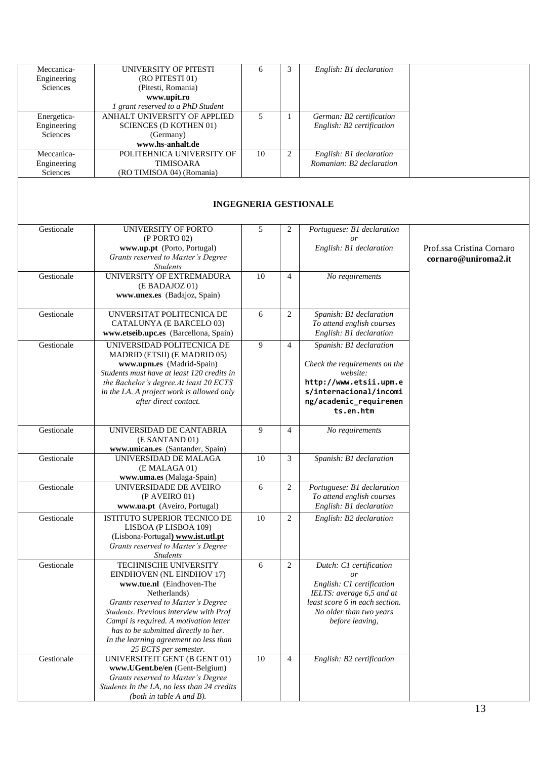| Meccanica-  | UNIVERSITY OF PITESTI                       | 6  | 3              | English: B1 declaration        |                           |
|-------------|---------------------------------------------|----|----------------|--------------------------------|---------------------------|
| Engineering | (RO PITESTI 01)                             |    |                |                                |                           |
| Sciences    | (Pitesti, Romania)                          |    |                |                                |                           |
|             | www.upit.ro                                 |    |                |                                |                           |
|             | 1 grant reserved to a PhD Student           |    |                |                                |                           |
| Energetica- | ANHALT UNIVERSITY OF APPLIED                | 5  | $\mathbf{1}$   | German: B2 certification       |                           |
| Engineering | <b>SCIENCES (D KOTHEN 01)</b>               |    |                | English: B2 certification      |                           |
|             |                                             |    |                |                                |                           |
| Sciences    | (Germany)                                   |    |                |                                |                           |
|             | www.hs-anhalt.de                            |    |                |                                |                           |
| Meccanica-  | POLITEHNICA UNIVERSITY OF                   | 10 | $\overline{2}$ | English: B1 declaration        |                           |
| Engineering | TIMISOARA                                   |    |                | Romanian: B2 declaration       |                           |
| Sciences    | (RO TIMISOA 04) (Romania)                   |    |                |                                |                           |
|             |                                             |    |                |                                |                           |
|             |                                             |    |                |                                |                           |
|             |                                             |    |                | <b>INGEGNERIA GESTIONALE</b>   |                           |
|             |                                             |    |                |                                |                           |
|             |                                             |    |                |                                |                           |
| Gestionale  | UNIVERSITY OF PORTO                         | 5  | 2              | Portuguese: B1 declaration     |                           |
|             | (P PORTO 02)                                |    |                | $\overline{or}$                |                           |
|             | www.up.pt (Porto, Portugal)                 |    |                | English: B1 declaration        | Prof.ssa Cristina Cornaro |
|             | Grants reserved to Master's Degree          |    |                |                                | cornaro@uniroma2.it       |
|             | <b>Students</b>                             |    |                |                                |                           |
|             |                                             |    |                |                                |                           |
| Gestionale  | UNIVERSITY OF EXTREMADURA                   | 10 | $\overline{4}$ | No requirements                |                           |
|             | (E BADAJOZ 01)                              |    |                |                                |                           |
|             | www.unex.es (Badajoz, Spain)                |    |                |                                |                           |
|             |                                             |    |                |                                |                           |
| Gestionale  | UNVERSITAT POLITECNICA DE                   | 6  | $\overline{2}$ | Spanish: B1 declaration        |                           |
|             | CATALUNYA (E BARCELO 03)                    |    |                | To attend english courses      |                           |
|             | www.etseib.upc.es (Barcellona, Spain)       |    |                | English: B1 declaration        |                           |
|             |                                             |    |                |                                |                           |
| Gestionale  | UNIVERSIDAD POLITECNICA DE                  | 9  | $\overline{4}$ | Spanish: B1 declaration        |                           |
|             | MADRID (ETSII) (E MADRID 05)                |    |                |                                |                           |
|             | www.upm.es (Madrid-Spain)                   |    |                | Check the requirements on the  |                           |
|             | Students must have at least 120 credits in  |    |                | website:                       |                           |
|             | the Bachelor's degree.At least 20 ECTS      |    |                | http://www.etsii.upm.e         |                           |
|             | in the LA. A project work is allowed only   |    |                | s/internacional/incomi         |                           |
|             | after direct contact.                       |    |                | ng/academic_requiremen         |                           |
|             |                                             |    |                | ts.en.htm                      |                           |
|             |                                             |    |                |                                |                           |
| Gestionale  | UNIVERSIDAD DE CANTABRIA                    | 9  | $\overline{4}$ |                                |                           |
|             |                                             |    |                | No requirements                |                           |
|             | (E SANTAND 01)                              |    |                |                                |                           |
|             | www.unican.es (Santander, Spain)            |    |                |                                |                           |
| Gestionale  | UNIVERSIDAD DE MALAGA                       | 10 | 3              | Spanish: B1 declaration        |                           |
|             | (E MALAGA 01)                               |    |                |                                |                           |
|             | www.uma.es (Malaga-Spain)                   |    |                |                                |                           |
| Gestionale  | UNIVERSIDADE DE AVEIRO                      | 6  | $\overline{2}$ | Portuguese: B1 declaration     |                           |
|             | $(P$ AVEIRO 01)                             |    |                | To attend english courses      |                           |
|             | www.ua.pt (Aveiro, Portugal)                |    |                | English: B1 declaration        |                           |
|             |                                             |    |                |                                |                           |
| Gestionale  | <b>ISTITUTO SUPERIOR TECNICO DE</b>         | 10 | $\overline{c}$ | English: B2 declaration        |                           |
|             | LISBOA (P LISBOA 109)                       |    |                |                                |                           |
|             | (Lisbona-Portugal) www.ist.utl.pt           |    |                |                                |                           |
|             | Grants reserved to Master's Degree          |    |                |                                |                           |
|             | <b>Students</b>                             |    |                |                                |                           |
| Gestionale  | TECHNISCHE UNIVERSITY                       | 6  | 2              | Dutch: C1 certification        |                           |
|             | EINDHOVEN (NL EINDHOV 17)                   |    |                | <sub>or</sub>                  |                           |
|             | www.tue.nl (Eindhoven-The                   |    |                | English: C1 certification      |                           |
|             | Netherlands)                                |    |                | IELTS: average 6,5 and at      |                           |
|             | Grants reserved to Master's Degree          |    |                | least score 6 in each section. |                           |
|             |                                             |    |                |                                |                           |
|             | Students. Previous interview with Prof      |    |                | No older than two years        |                           |
|             | Campi is required. A motivation letter      |    |                | before leaving,                |                           |
|             | has to be submitted directly to her.        |    |                |                                |                           |
|             | In the learning agreement no less than      |    |                |                                |                           |
|             | 25 ECTS per semester.                       |    |                |                                |                           |
| Gestionale  | UNIVERSITEIT GENT (B GENT 01)               | 10 | 4              | English: B2 certification      |                           |
|             | www.UGent.be/en (Gent-Belgium)              |    |                |                                |                           |
|             | Grants reserved to Master's Degree          |    |                |                                |                           |
|             | Students In the LA, no less than 24 credits |    |                |                                |                           |
|             | (both in table $A$ and $B$ ).               |    |                |                                |                           |
|             |                                             |    |                |                                |                           |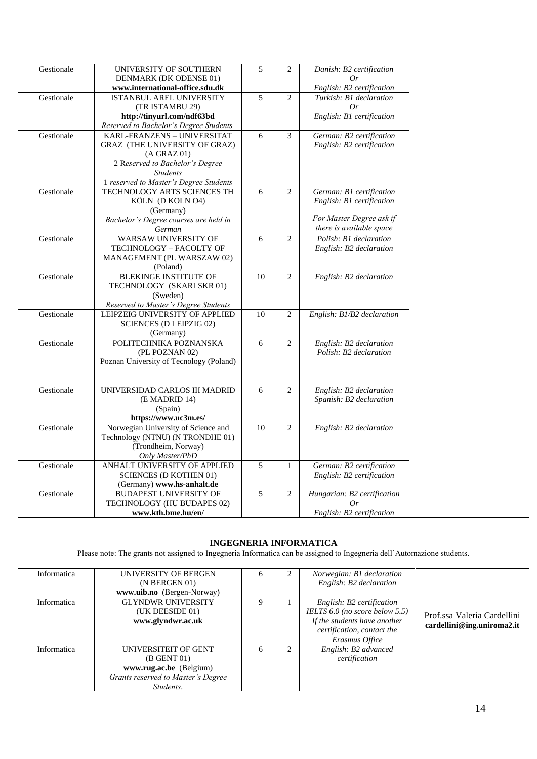| Gestionale | UNIVERSITY OF SOUTHERN                  | $\overline{5}$  | 2              | Danish: B2 certification    |
|------------|-----------------------------------------|-----------------|----------------|-----------------------------|
|            | DENMARK (DK ODENSE 01)                  |                 |                | 0r                          |
|            | www.international-office.sdu.dk         |                 |                | English: B2 certification   |
| Gestionale | ISTANBUL AREL UNIVERSITY                | $\overline{5}$  | $\overline{2}$ | Turkish: B1 declaration     |
|            | (TR ISTAMBU 29)                         |                 |                | 0r                          |
|            | http://tinyurl.com/ndf63bd              |                 |                | English: B1 certification   |
|            | Reserved to Bachelor's Degree Students  |                 |                |                             |
| Gestionale | KARL-FRANZENS - UNIVERSITAT             | 6               | 3              | German: B2 certification    |
|            | GRAZ (THE UNIVERSITY OF GRAZ)           |                 |                | English: B2 certification   |
|            | $(A \text{ GRAZ } 01)$                  |                 |                |                             |
|            | 2 Reserved to Bachelor's Degree         |                 |                |                             |
|            | <b>Students</b>                         |                 |                |                             |
|            | 1 reserved to Master's Degree Students  |                 |                |                             |
| Gestionale | TECHNOLOGY ARTS SCIENCES TH             | 6               | 2              | German: B1 certification    |
|            | KÖLN (D KOLN 04)                        |                 |                | English: B1 certification   |
|            | (Germany)                               |                 |                |                             |
|            | Bachelor's Degree courses are held in   |                 |                | For Master Degree ask if    |
|            | German                                  |                 |                | there is available space    |
| Gestionale | WARSAW UNIVERSITY OF                    | 6               | $\overline{2}$ | Polish: B1 declaration      |
|            | TECHNOLOGY - FACOLTY OF                 |                 |                | English: B2 declaration     |
|            | MANAGEMENT (PL WARSZAW 02)              |                 |                |                             |
|            | (Poland)                                |                 |                |                             |
| Gestionale | BLEKINGE INSTITUTE OF                   | 10              | $\sqrt{2}$     | English: B2 declaration     |
|            | TECHNOLOGY (SKARLSKR 01)                |                 |                |                             |
|            | (Sweden)                                |                 |                |                             |
|            | Reserved to Master's Degree Students    |                 |                |                             |
| Gestionale | LEIPZEIG UNIVERSITY OF APPLIED          | $\overline{10}$ | 2              | English: B1/B2 declaration  |
|            | <b>SCIENCES (D LEIPZIG 02)</b>          |                 |                |                             |
|            | (Germany)                               |                 |                |                             |
| Gestionale | POLITECHNIKA POZNANSKA                  | 6               | $\overline{2}$ | English: B2 declaration     |
|            | (PL POZNAN 02)                          |                 |                | Polish: B2 declaration      |
|            | Poznan University of Tecnology (Poland) |                 |                |                             |
|            |                                         |                 |                |                             |
|            |                                         |                 |                |                             |
| Gestionale | UNIVERSIDAD CARLOS III MADRID           | $\overline{6}$  | 2              | English: B2 declaration     |
|            | (E MADRID 14)                           |                 |                | Spanish: B2 declaration     |
|            | (Spain)                                 |                 |                |                             |
|            | https://www.uc3m.es/                    |                 |                |                             |
| Gestionale | Norwegian University of Science and     | 10              | $\overline{2}$ | English: B2 declaration     |
|            | Technology (NTNU) (N TRONDHE 01)        |                 |                |                             |
|            | (Trondheim, Norway)                     |                 |                |                             |
|            | Only Master/PhD                         |                 |                |                             |
| Gestionale | ANHALT UNIVERSITY OF APPLIED            | $\overline{5}$  | $\mathbf{1}$   | German: B2 certification    |
|            | <b>SCIENCES (D KOTHEN 01)</b>           |                 |                | English: B2 certification   |
|            | (Germany) www.hs-anhalt.de              |                 |                |                             |
| Gestionale | <b>BUDAPEST UNIVERSITY OF</b>           | 5               | $\overline{2}$ | Hungarian: B2 certification |
|            | TECHNOLOGY (HU BUDAPES 02)              |                 |                | Or                          |
|            | www.kth.bme.hu/en/                      |                 |                | English: B2 certification   |
|            |                                         |                 |                |                             |

|             | Please note: The grants not assigned to Ingegneria Informatica can be assigned to Ingegneria dell'Automazione students. |              |   | <b>INGEGNERIA INFORMATICA</b>                                                                                                                    |                                                           |
|-------------|-------------------------------------------------------------------------------------------------------------------------|--------------|---|--------------------------------------------------------------------------------------------------------------------------------------------------|-----------------------------------------------------------|
| Informatica | UNIVERSITY OF BERGEN<br>(N BERGEN 01)<br>www.uib.no (Bergen-Norway)                                                     | <sub>6</sub> | 2 | Norwegian: B1 declaration<br>English: B2 declaration                                                                                             |                                                           |
| Informatica | <b>GLYNDWR UNIVERSITY</b><br>(UK DEESIDE 01)<br>www.glyndwr.ac.uk                                                       | 9            |   | English: B2 certification<br>IELTS $6.0$ (no score below $5.5$ )<br>If the students have another<br>certification, contact the<br>Erasmus Office | Prof.ssa Valeria Cardellini<br>cardellini@ing.uniroma2.it |
| Informatica | UNIVERSITEIT OF GENT<br>$(B$ GENT $01)$<br>www.rug.ac.be (Belgium)<br>Grants reserved to Master's Degree<br>Students.   | 6            | 2 | English: B2 advanced<br>certification                                                                                                            |                                                           |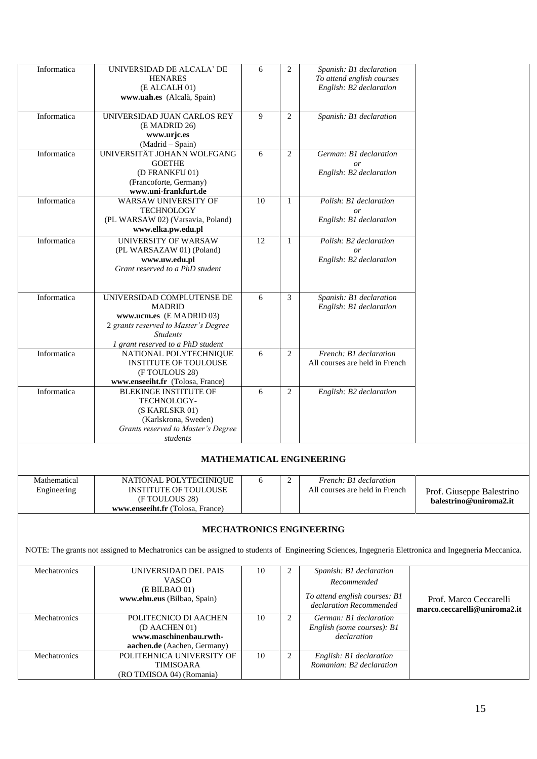| Informatica                 | UNIVERSIDAD DE ALCALA' DE<br><b>HENARES</b><br>(E ALCALH 01)<br>www.uah.es (Alcalà, Spain)                                                          | 6  | $\overline{2}$ | Spanish: B1 declaration<br>To attend english courses<br>English: B2 declaration |                                                        |
|-----------------------------|-----------------------------------------------------------------------------------------------------------------------------------------------------|----|----------------|---------------------------------------------------------------------------------|--------------------------------------------------------|
| Informatica                 | UNIVERSIDAD JUAN CARLOS REY<br>(E MADRID 26)<br>www.urjc.es<br>(Madrid - Spain)                                                                     | 9  | 2              | Spanish: B1 declaration                                                         |                                                        |
| Informatica                 | UNIVERSITÄT JOHANN WOLFGANG<br><b>GOETHE</b>                                                                                                        | 6  | $\overline{2}$ | German: B1 declaration<br>or                                                    |                                                        |
|                             | (D FRANKFU 01)<br>(Francoforte, Germany)<br>www.uni-frankfurt.de                                                                                    |    |                | English: B2 declaration                                                         |                                                        |
| Informatica                 | WARSAW UNIVERSITY OF<br><b>TECHNOLOGY</b><br>(PL WARSAW 02) (Varsavia, Poland)                                                                      | 10 | 1              | Polish: B1 declaration<br>or<br>English: B1 declaration                         |                                                        |
| Informatica                 | www.elka.pw.edu.pl<br>UNIVERSITY OF WARSAW<br>(PL WARSAZAW 01) (Poland)                                                                             | 12 | 1              | Polish: B2 declaration<br>or                                                    |                                                        |
|                             | www.uw.edu.pl<br>Grant reserved to a PhD student                                                                                                    |    |                | English: B2 declaration                                                         |                                                        |
| Informatica                 | UNIVERSIDAD COMPLUTENSE DE<br><b>MADRID</b><br>www.ucm.es (E MADRID 03)<br>2 grants reserved to Master's Degree<br><b>Students</b>                  | 6  | 3              | Spanish: B1 declaration<br>English: B1 declaration                              |                                                        |
| Informatica                 | 1 grant reserved to a PhD student<br>NATIONAL POLYTECHNIQUE<br><b>INSTITUTE OF TOULOUSE</b><br>(F TOULOUS 28)<br>www.enseeiht.fr (Tolosa, France)   | 6  | 2              | French: B1 declaration<br>All courses are held in French                        |                                                        |
| Informatica                 | <b>BLEKINGE INSTITUTE OF</b><br>TECHNOLOGY-<br>(S KARLSKR 01)<br>(Karlskrona, Sweden)<br>Grants reserved to Master's Degree<br>students             | 6  | 2              | English: B2 declaration                                                         |                                                        |
|                             |                                                                                                                                                     |    |                | <b>MATHEMATICAL ENGINEERING</b>                                                 |                                                        |
| Mathematical<br>Engineering | NATIONAL POLYTECHNIQUE<br><b>INSTITUTE OF TOULOUSE</b><br>(F TOULOUS 28)<br>www.enseeiht.fr (Tolosa, France)                                        | 6  | 2              | French: B1 declaration<br>All courses are held in French                        | Prof. Giuseppe Balestrino<br>balestrino@uniroma2.it    |
|                             |                                                                                                                                                     |    |                | <b>MECHATRONICS ENGINEERING</b>                                                 |                                                        |
|                             | NOTE: The grants not assigned to Mechatronics can be assigned to students of Engineering Sciences, Ingegneria Elettronica and Ingegneria Meccanica. |    |                |                                                                                 |                                                        |
| Mechatronics                | UNIVERSIDAD DEL PAIS<br><b>VASCO</b>                                                                                                                | 10 | 2              | Spanish: B1 declaration<br>Recommended                                          |                                                        |
|                             | (E BILBAO 01)<br>www.ehu.eus (Bilbao, Spain)                                                                                                        |    |                | To attend english courses: B1<br>declaration Recommended                        | Prof. Marco Ceccarelli<br>marco.ceccarelli@uniroma2.it |
| Mechatronics                | POLITECNICO DI AACHEN<br>(D AACHEN 01)<br>www.maschinenbau.rwth-<br>aachen.de (Aachen, Germany)                                                     | 10 | $\overline{2}$ | German: B1 declaration<br>English (some courses): B1<br>declaration             |                                                        |
| Mechatronics                | POLITEHNICA UNIVERSITY OF<br><b>TIMISOARA</b><br>(RO TIMISOA 04) (Romania)                                                                          | 10 | $\overline{c}$ | English: B1 declaration<br>Romanian: B2 declaration                             |                                                        |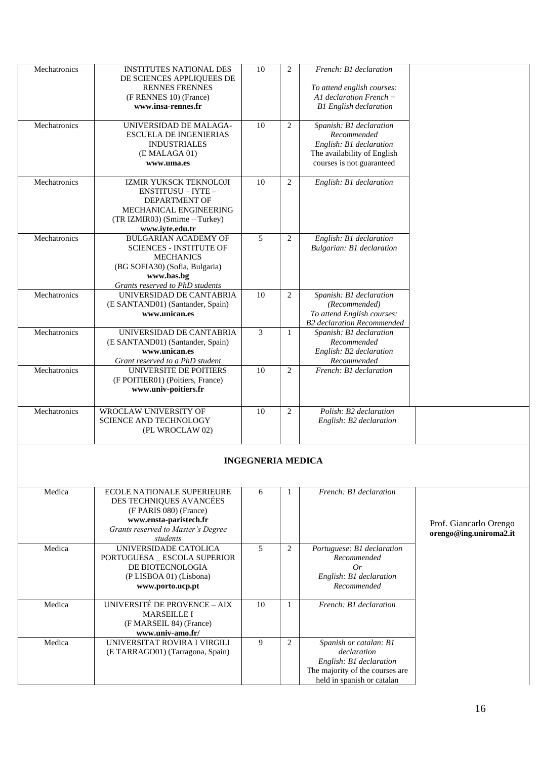| Mechatronics | <b>INSTITUTES NATIONAL DES</b><br>DE SCIENCES APPLIQUEES DE<br><b>RENNES FRENNES</b><br>(F RENNES 10) (France)<br>www.insa-rennes.fr                                 | 10                       | $\mathbf{2}$   | French: B1 declaration<br>To attend english courses:<br>A1 declaration French +<br><b>B1</b> English declaration                  |                                                  |
|--------------|----------------------------------------------------------------------------------------------------------------------------------------------------------------------|--------------------------|----------------|-----------------------------------------------------------------------------------------------------------------------------------|--------------------------------------------------|
| Mechatronics | UNIVERSIDAD DE MALAGA-<br><b>ESCUELA DE INGENIERIAS</b><br><b>INDUSTRIALES</b><br>(E MALAGA 01)<br>www.uma.es                                                        | 10                       | $\mathbf{2}$   | Spanish: B1 declaration<br>Recommended<br>English: B1 declaration<br>The availability of English<br>courses is not guaranteed     |                                                  |
| Mechatronics | IZMIR YUKSCK TEKNOLOJI<br>ENSTITUSU - IYTE -<br><b>DEPARTMENT OF</b><br>MECHANICAL ENGINEERING<br>(TR IZMIR03) (Smirne - Turkey)<br>www.iyte.edu.tr                  | 10                       | 2              | English: B1 declaration                                                                                                           |                                                  |
| Mechatronics | <b>BULGARIAN ACADEMY OF</b><br><b>SCIENCES - INSTITUTE OF</b><br><b>MECHANICS</b><br>(BG SOFIA30) (Sofia, Bulgaria)<br>www.bas.bg<br>Grants reserved to PhD students | 5                        | $\overline{2}$ | English: B1 declaration<br>Bulgarian: B1 declaration                                                                              |                                                  |
| Mechatronics | UNIVERSIDAD DE CANTABRIA<br>(E SANTAND01) (Santander, Spain)<br>www.unican.es                                                                                        | 10                       | 2              | Spanish: B1 declaration<br>(Recommended)<br>To attend English courses:<br><b>B2</b> declaration Recommended                       |                                                  |
| Mechatronics | UNIVERSIDAD DE CANTABRIA<br>(E SANTAND01) (Santander, Spain)<br>www.unican.es<br>Grant reserved to a PhD student                                                     | 3                        | $\mathbf{1}$   | Spanish: B1 declaration<br>Recommended<br>English: B2 declaration<br>Recommended                                                  |                                                  |
| Mechatronics | UNIVERSITE DE POITIERS<br>(F POITIER01) (Poitiers, France)<br>www.univ-poitiers.fr                                                                                   | 10                       | 2              | French: B1 declaration                                                                                                            |                                                  |
| Mechatronics | WROCLAW UNIVERSITY OF<br>SCIENCE AND TECHNOLOGY<br>(PL WROCLAW 02)                                                                                                   | 10                       | $\overline{2}$ | Polish: B2 declaration<br>English: B2 declaration                                                                                 |                                                  |
|              |                                                                                                                                                                      | <b>INGEGNERIA MEDICA</b> |                |                                                                                                                                   |                                                  |
| Medica       | <b>ECOLE NATIONALE SUPERIEURE</b><br>DES TECHNIQUES AVANCÉES<br>(F PARIS 080) (France)<br>www.ensta-paristech.fr<br>Grants reserved to Master's Degree<br>students   | 6                        | 1              | French: B1 declaration                                                                                                            | Prof. Giancarlo Orengo<br>orengo@ing.uniroma2.it |
| Medica       | UNIVERSIDADE CATOLICA<br>PORTUGUESA _ ESCOLA SUPERIOR<br>DE BIOTECNOLOGIA<br>(P LISBOA 01) (Lisbona)<br>www.porto.ucp.pt                                             | 5                        | 2              | Portuguese: B1 declaration<br>Recommended<br>Or<br>English: B1 declaration<br>Recommended                                         |                                                  |
| Medica       | <b>UNIVERSITÉ DE PROVENCE - AIX</b><br><b>MARSEILLE I</b><br>(F MARSEIL 84) (France)<br>www.univ-amo.fr/                                                             | 10                       | 1              | French: B1 declaration                                                                                                            |                                                  |
| Medica       | UNIVERSITAT ROVIRA I VIRGILI<br>(E TARRAGO01) (Tarragona, Spain)                                                                                                     | 9                        | 2              | Spanish or catalan: B1<br>declaration<br>English: B1 declaration<br>The majority of the courses are<br>held in spanish or catalan |                                                  |